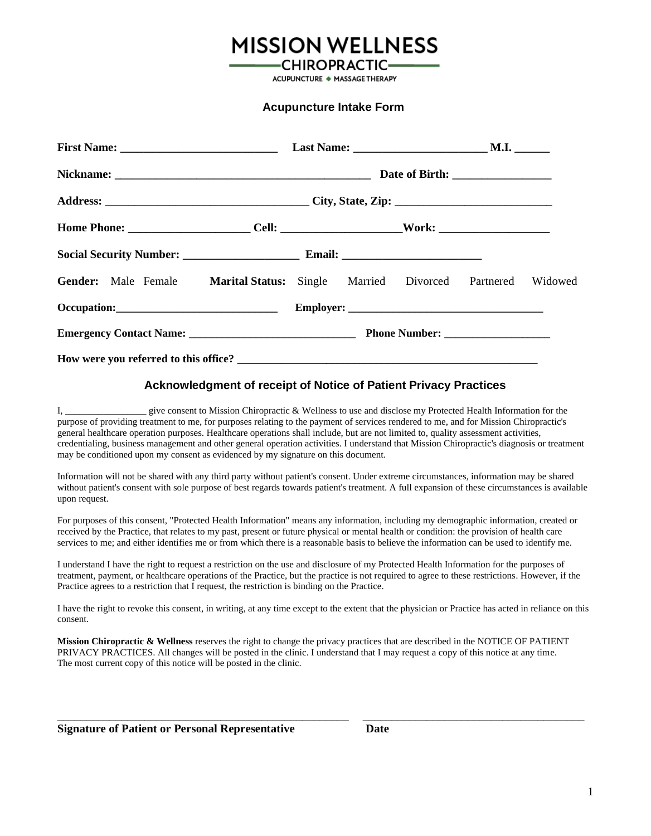## **MISSION WELLNESS**

**CHIROPRACTIC-ACUPUNCTURE ◆ MASSAGE THERAPY** 

#### **Acupuncture Intake Form**

| Home Phone: _________________________Cell: _________________________Work: __________________________ |  |  |  |  |  |  |
|------------------------------------------------------------------------------------------------------|--|--|--|--|--|--|
|                                                                                                      |  |  |  |  |  |  |
| Gender: Male Female Marital Status: Single Married Divorced Partnered Widowed                        |  |  |  |  |  |  |
|                                                                                                      |  |  |  |  |  |  |
|                                                                                                      |  |  |  |  |  |  |
|                                                                                                      |  |  |  |  |  |  |

#### **Acknowledgment of receipt of Notice of Patient Privacy Practices**

I, \_\_\_\_\_\_\_\_\_\_\_\_\_\_\_\_\_ give consent to Mission Chiropractic & Wellness to use and disclose my Protected Health Information for the purpose of providing treatment to me, for purposes relating to the payment of services rendered to me, and for Mission Chiropractic's general healthcare operation purposes. Healthcare operations shall include, but are not limited to, quality assessment activities, credentialing, business management and other general operation activities. I understand that Mission Chiropractic's diagnosis or treatment may be conditioned upon my consent as evidenced by my signature on this document.

Information will not be shared with any third party without patient's consent. Under extreme circumstances, information may be shared without patient's consent with sole purpose of best regards towards patient's treatment. A full expansion of these circumstances is available upon request.

For purposes of this consent, "Protected Health Information" means any information, including my demographic information, created or received by the Practice, that relates to my past, present or future physical or mental health or condition: the provision of health care services to me; and either identifies me or from which there is a reasonable basis to believe the information can be used to identify me.

I understand I have the right to request a restriction on the use and disclosure of my Protected Health Information for the purposes of treatment, payment, or healthcare operations of the Practice, but the practice is not required to agree to these restrictions. However, if the Practice agrees to a restriction that I request, the restriction is binding on the Practice.

I have the right to revoke this consent, in writing, at any time except to the extent that the physician or Practice has acted in reliance on this consent.

**Mission Chiropractic & Wellness** reserves the right to change the privacy practices that are described in the NOTICE OF PATIENT PRIVACY PRACTICES. All changes will be posted in the clinic. I understand that I may request a copy of this notice at any time. The most current copy of this notice will be posted in the clinic.

\_\_\_\_\_\_\_\_\_\_\_\_\_\_\_\_\_\_\_\_\_\_\_\_\_\_\_\_\_\_\_\_\_\_\_\_\_\_\_\_\_\_\_\_\_\_\_\_\_\_ \_\_\_\_\_\_\_\_\_\_\_\_\_\_\_\_\_\_\_\_\_\_\_\_\_\_\_\_\_\_\_\_\_\_\_\_\_\_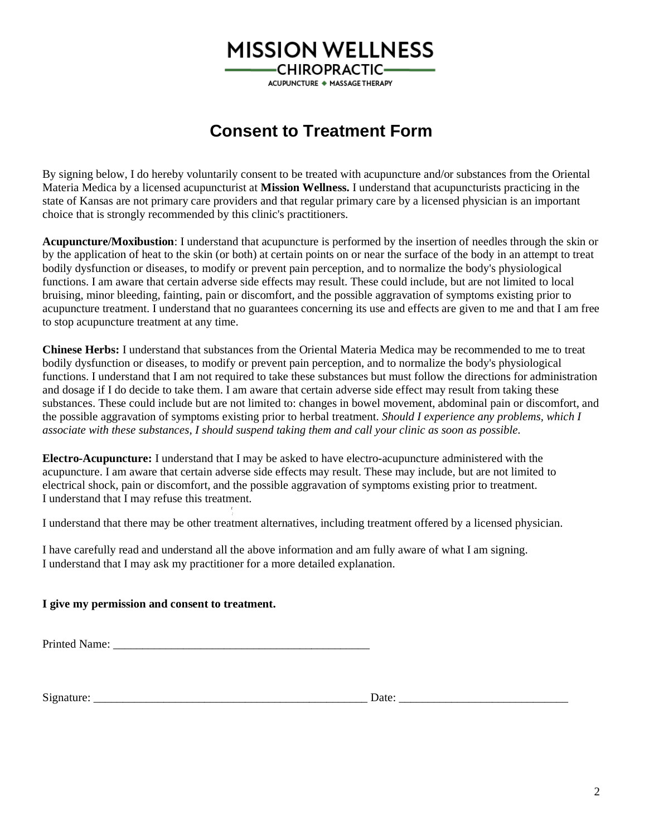# **MISSION WELLNESS**

**CHIROPRACTIC-**ACUPUNCTURE ◆ MASSAGE THERAPY

## **Consent to Treatment Form**

By signing below, I do hereby voluntarily consent to be treated with acupuncture and/or substances from the Oriental Materia Medica by a licensed acupuncturist at **Mission Wellness.** I understand that acupuncturists practicing in the state of Kansas are not primary care providers and that regular primary care by a licensed physician is an important choice that is strongly recommended by this clinic's practitioners.

**Acupuncture/Moxibustion**: I understand that acupuncture is performed by the insertion of needles through the skin or by the application of heat to the skin (or both) at certain points on or near the surface of the body in an attempt to treat bodily dysfunction or diseases, to modify or prevent pain perception, and to normalize the body's physiological functions. I am aware that certain adverse side effects may result. These could include, but are not limited to local bruising, minor bleeding, fainting, pain or discomfort, and the possible aggravation of symptoms existing prior to acupuncture treatment. I understand that no guarantees concerning its use and effects are given to me and that I am free to stop acupuncture treatment at any time.

**Chinese Herbs:** I understand that substances from the Oriental Materia Medica may be recommended to me to treat bodily dysfunction or diseases, to modify or prevent pain perception, and to normalize the body's physiological functions. I understand that I am not required to take these substances but must follow the directions for administration and dosage if I do decide to take them. I am aware that certain adverse side effect may result from taking these substances. These could include but are not limited to: changes in bowel movement, abdominal pain or discomfort, and the possible aggravation of symptoms existing prior to herbal treatment. *Should I experience any problems, which I associate with these substances, I should suspend taking them and call your clinic as soon as possible.*

**Electro-Acupuncture:** I understand that I may be asked to have electro-acupuncture administered with the acupuncture. I am aware that certain adverse side effects may result. These may include, but are not limited to electrical shock, pain or discomfort, and the possible aggravation of symptoms existing prior to treatment. I understand that I may refuse this treatment.

*:* I understand that there may be other treatment alternatives, including treatment offered by a licensed physician.

I have carefully read and understand all the above information and am fully aware of what I am signing. I understand that I may ask my practitioner for a more detailed explanation.

#### **I give my permission and consent to treatment.**

Printed Name:

*t*

Signature: \_\_\_\_\_\_\_\_\_\_\_\_\_\_\_\_\_\_\_\_\_\_\_\_\_\_\_\_\_\_\_\_\_\_\_\_\_\_\_\_\_\_\_\_\_\_\_ Date: \_\_\_\_\_\_\_\_\_\_\_\_\_\_\_\_\_\_\_\_\_\_\_\_\_\_\_\_\_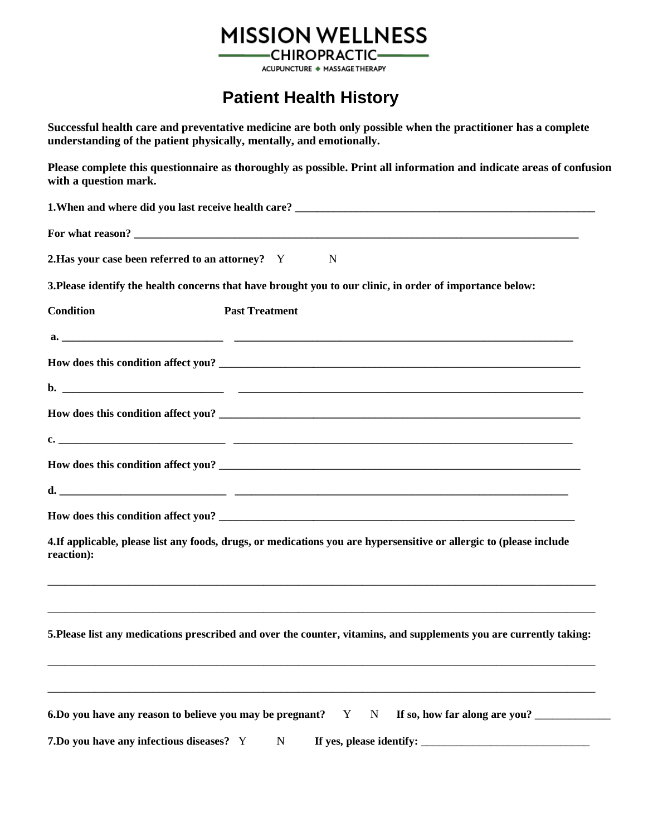# **MISSION WELLNESS**

**CHIROPRACTIC-**ACUPUNCTURE + MASSAGE THERAPY

## **Patient Health History**

|                                                             | Successful health care and preventative medicine are both only possible when the practitioner has a complete<br>understanding of the patient physically, mentally, and emotionally. |
|-------------------------------------------------------------|-------------------------------------------------------------------------------------------------------------------------------------------------------------------------------------|
| with a question mark.                                       | Please complete this questionnaire as thoroughly as possible. Print all information and indicate areas of confusion                                                                 |
|                                                             |                                                                                                                                                                                     |
|                                                             |                                                                                                                                                                                     |
| 2. Has your case been referred to an attorney? Y            | $\mathbf N$                                                                                                                                                                         |
|                                                             | 3. Please identify the health concerns that have brought you to our clinic, in order of importance below:                                                                           |
| <b>Condition</b>                                            | <b>Past Treatment</b>                                                                                                                                                               |
|                                                             |                                                                                                                                                                                     |
|                                                             | How does this condition affect you?                                                                                                                                                 |
|                                                             |                                                                                                                                                                                     |
|                                                             | How does this condition affect you?                                                                                                                                                 |
|                                                             | c. $\qquad \qquad$                                                                                                                                                                  |
|                                                             |                                                                                                                                                                                     |
|                                                             | $\mathbf{d}$ .                                                                                                                                                                      |
|                                                             |                                                                                                                                                                                     |
| reaction):                                                  | 4. If applicable, please list any foods, drugs, or medications you are hypersensitive or allergic to (please include                                                                |
|                                                             | 5. Please list any medications prescribed and over the counter, vitamins, and supplements you are currently taking:                                                                 |
| 6. Do you have any reason to believe you may be pregnant? Y | If so, how far along are you?<br>$\mathbf N$                                                                                                                                        |
| 7. Do you have any infectious diseases? Y                   | $\mathbf N$                                                                                                                                                                         |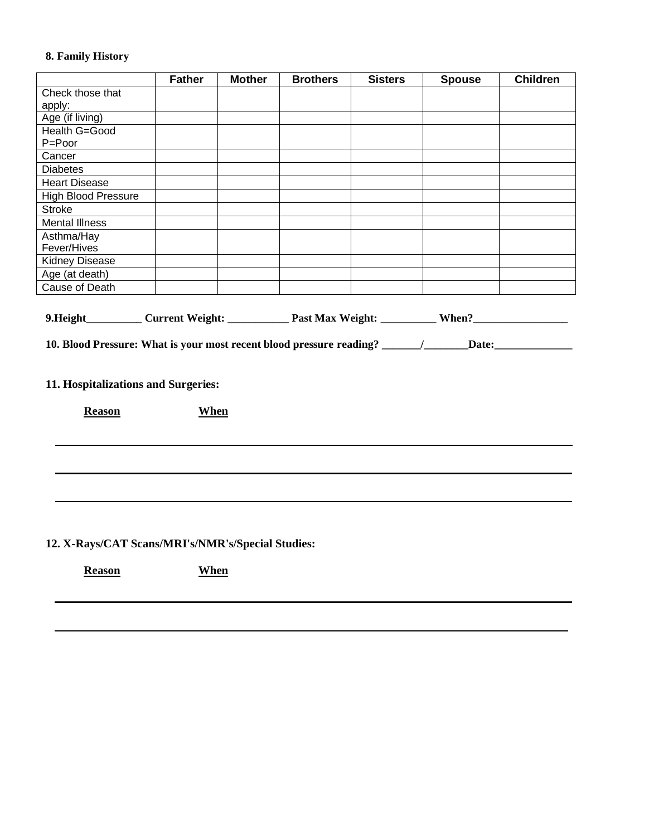### **8. Family History**

|                                                                                                     | <b>Father</b>                                                                                                  | <b>Mother</b> | <b>Brothers</b> | <b>Sisters</b> | <b>Spouse</b> | <b>Children</b> |  |  |
|-----------------------------------------------------------------------------------------------------|----------------------------------------------------------------------------------------------------------------|---------------|-----------------|----------------|---------------|-----------------|--|--|
| Check those that<br>apply:                                                                          |                                                                                                                |               |                 |                |               |                 |  |  |
| Age (if living)                                                                                     |                                                                                                                |               |                 |                |               |                 |  |  |
| Health G=Good<br>P=Poor                                                                             |                                                                                                                |               |                 |                |               |                 |  |  |
| Cancer                                                                                              |                                                                                                                |               |                 |                |               |                 |  |  |
| <b>Diabetes</b>                                                                                     |                                                                                                                |               |                 |                |               |                 |  |  |
| <b>Heart Disease</b>                                                                                |                                                                                                                |               |                 |                |               |                 |  |  |
| <b>High Blood Pressure</b>                                                                          |                                                                                                                |               |                 |                |               |                 |  |  |
| <b>Stroke</b>                                                                                       |                                                                                                                |               |                 |                |               |                 |  |  |
| <b>Mental Illness</b>                                                                               |                                                                                                                |               |                 |                |               |                 |  |  |
| Asthma/Hay                                                                                          |                                                                                                                |               |                 |                |               |                 |  |  |
| Fever/Hives                                                                                         |                                                                                                                |               |                 |                |               |                 |  |  |
| Kidney Disease                                                                                      |                                                                                                                |               |                 |                |               |                 |  |  |
| Age (at death)                                                                                      |                                                                                                                |               |                 |                |               |                 |  |  |
| <b>Cause of Death</b>                                                                               |                                                                                                                |               |                 |                |               |                 |  |  |
|                                                                                                     | 9. Height____________ Current Weight: ______________ Past Max Weight: ___________ When?_______________________ |               |                 |                |               |                 |  |  |
| 10. Blood Pressure: What is your most recent blood pressure reading? ______/_____Date:_____________ |                                                                                                                |               |                 |                |               |                 |  |  |
|                                                                                                     |                                                                                                                |               |                 |                |               |                 |  |  |
|                                                                                                     |                                                                                                                |               |                 |                |               |                 |  |  |
| 11. Hospitalizations and Surgeries:                                                                 |                                                                                                                |               |                 |                |               |                 |  |  |
| <b>Reason</b>                                                                                       | <b>When</b>                                                                                                    |               |                 |                |               |                 |  |  |
|                                                                                                     |                                                                                                                |               |                 |                |               |                 |  |  |
|                                                                                                     |                                                                                                                |               |                 |                |               |                 |  |  |
|                                                                                                     |                                                                                                                |               |                 |                |               |                 |  |  |
|                                                                                                     |                                                                                                                |               |                 |                |               |                 |  |  |
|                                                                                                     |                                                                                                                |               |                 |                |               |                 |  |  |
|                                                                                                     |                                                                                                                |               |                 |                |               |                 |  |  |
|                                                                                                     |                                                                                                                |               |                 |                |               |                 |  |  |
|                                                                                                     |                                                                                                                |               |                 |                |               |                 |  |  |
|                                                                                                     |                                                                                                                |               |                 |                |               |                 |  |  |

**12. X-Rays/CAT Scans/MRI's/NMR's/Special Studies:**

**Reason When**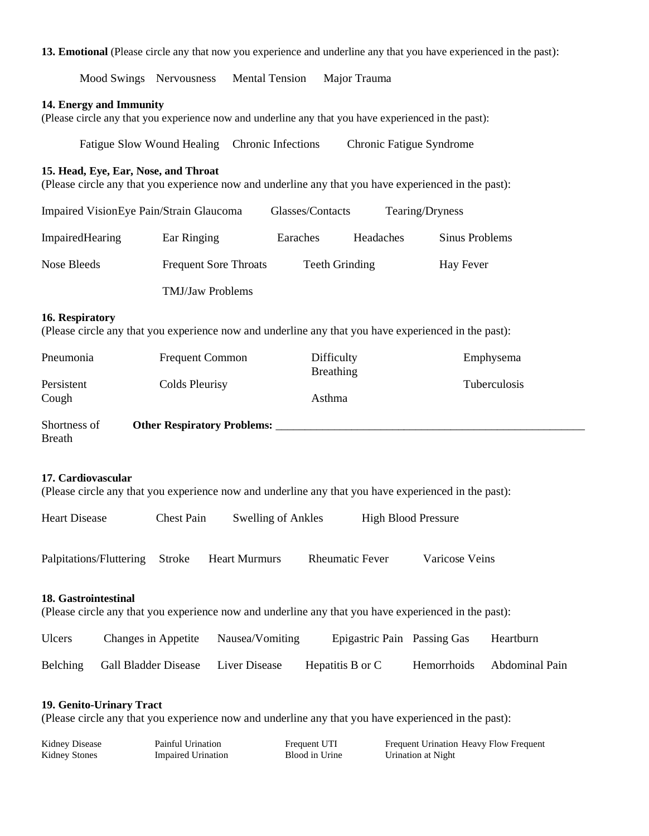#### **13. Emotional** (Please circle any that now you experience and underline any that you have experienced in the past):

Mood Swings Nervousness Mental Tension Major Trauma

#### **14. Energy and Immunity**

(Please circle any that you experience now and underline any that you have experienced in the past):

| Fatigue Slow Wound Healing Chronic Infections | Chronic Fatigue Syndrome |
|-----------------------------------------------|--------------------------|
|-----------------------------------------------|--------------------------|

#### **15. Head, Eye, Ear, Nose, and Throat**

(Please circle any that you experience now and underline any that you have experienced in the past):

| Impaired VisionEye Pain/Strain Glaucoma |                              | Glasses/Contacts | Tearing/Dryness |                |
|-----------------------------------------|------------------------------|------------------|-----------------|----------------|
| ImpairedHearing                         | Ear Ringing                  | Earaches         | Headaches       | Sinus Problems |
| Nose Bleeds                             | <b>Frequent Sore Throats</b> | Teeth Grinding   |                 | Hay Fever      |
|                                         | <b>TMJ/Jaw Problems</b>      |                  |                 |                |

#### **16. Respiratory**

(Please circle any that you experience now and underline any that you have experienced in the past):

| Pneumonia           | <b>Frequent Common</b>             | Difficulty<br><b>Breathing</b> | Emphysema           |
|---------------------|------------------------------------|--------------------------------|---------------------|
| Persistent<br>Cough | Colds Pleurisy                     | Asthma                         | <b>Tuberculosis</b> |
| Shortness of        | <b>Other Respiratory Problems:</b> |                                |                     |

Breath

#### **17. Cardiovascular**

(Please circle any that you experience now and underline any that you have experienced in the past):

| Heart Disease | <b>Chest Pain</b> | <b>Swelling of Ankles</b> | <b>High Blood Pressure</b> |
|---------------|-------------------|---------------------------|----------------------------|
|               |                   |                           |                            |

Palpitations/Fluttering Stroke Heart Murmurs Rheumatic Fever Varicose Veins

#### **18. Gastrointestinal**

(Please circle any that you experience now and underline any that you have experienced in the past):

| <b>Ulcers</b> | Changes in Appetite           | Nausea/Vomiting | Epigastric Pain Passing Gas |             | Heartburn      |
|---------------|-------------------------------|-----------------|-----------------------------|-------------|----------------|
|               | Belching Gall Bladder Disease | Liver Disease   | Hepatitis B or C            | Hemorrhoids | Abdominal Pain |

#### **19. Genito-Urinary Tract**

(Please circle any that you experience now and underline any that you have experienced in the past):

| Kidney Disease | Painful Urination         | Frequent UTI   | Frequent Urination Heavy Flow Frequent |
|----------------|---------------------------|----------------|----------------------------------------|
| Kidney Stones  | <b>Impaired Urination</b> | Blood in Urine | Urination at Night                     |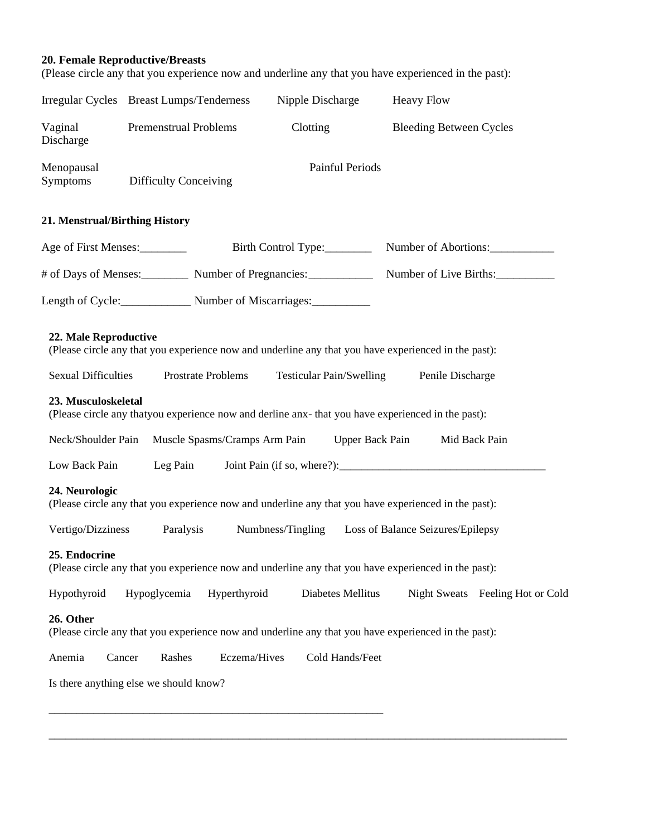#### **20. Female Reproductive/Breasts**

(Please circle any that you experience now and underline any that you have experienced in the past):

|                                | Irregular Cycles Breast Lumps/Tenderness                                                             | Nipple Discharge         | <b>Heavy Flow</b>                 |
|--------------------------------|------------------------------------------------------------------------------------------------------|--------------------------|-----------------------------------|
| Vaginal<br>Discharge           | Premenstrual Problems                                                                                | Clotting                 | <b>Bleeding Between Cycles</b>    |
| Menopausal<br><b>Symptoms</b>  | <b>Difficulty Conceiving</b>                                                                         | <b>Painful Periods</b>   |                                   |
| 21. Menstrual/Birthing History |                                                                                                      |                          |                                   |
| Age of First Menses:           |                                                                                                      | Birth Control Type:      | Number of Abortions:              |
|                                | # of Days of Menses: Number of Pregnancies:                                                          |                          | Number of Live Births:            |
|                                | Length of Cycle: Number of Miscarriages:                                                             |                          |                                   |
| 22. Male Reproductive          | (Please circle any that you experience now and underline any that you have experienced in the past): |                          |                                   |
| <b>Sexual Difficulties</b>     | Prostrate Problems                                                                                   | Testicular Pain/Swelling | Penile Discharge                  |
| 23. Musculoskeletal            | (Please circle any thatyou experience now and derline anx- that you have experienced in the past):   |                          |                                   |
| Neck/Shoulder Pain             | Muscle Spasms/Cramps Arm Pain                                                                        | <b>Upper Back Pain</b>   | Mid Back Pain                     |
| Low Back Pain                  | Leg Pain                                                                                             |                          |                                   |
| 24. Neurologic                 | (Please circle any that you experience now and underline any that you have experienced in the past): |                          |                                   |
| Vertigo/Dizziness              | Paralysis                                                                                            | Numbness/Tingling        | Loss of Balance Seizures/Epilepsy |
| 25. Endocrine                  | (Please circle any that you experience now and underline any that you have experienced in the past): |                          |                                   |
| Hypothyroid                    | Hypoglycemia<br>Hyperthyroid                                                                         | Diabetes Mellitus        | Night Sweats Feeling Hot or Cold  |
| 26. Other                      | (Please circle any that you experience now and underline any that you have experienced in the past): |                          |                                   |
| Anemia                         | Rashes<br>Eczema/Hives<br>Cancer                                                                     | Cold Hands/Feet          |                                   |
|                                | Is there anything else we should know?                                                               |                          |                                   |
|                                |                                                                                                      |                          |                                   |

\_\_\_\_\_\_\_\_\_\_\_\_\_\_\_\_\_\_\_\_\_\_\_\_\_\_\_\_\_\_\_\_\_\_\_\_\_\_\_\_\_\_\_\_\_\_\_\_\_\_\_\_\_\_\_\_\_\_\_\_\_\_\_\_\_\_\_\_\_\_\_\_\_\_\_\_\_\_\_\_\_\_\_\_\_\_\_\_\_\_\_\_\_